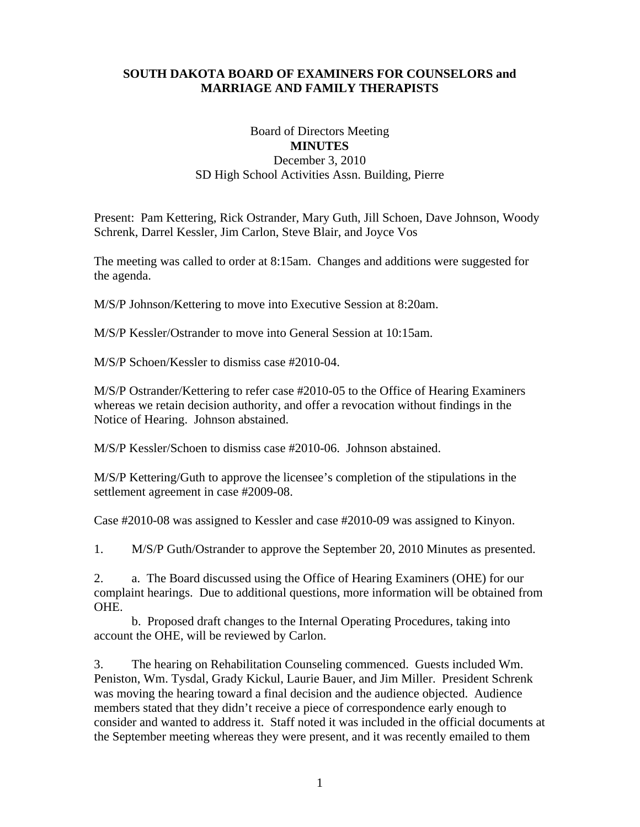## **SOUTH DAKOTA BOARD OF EXAMINERS FOR COUNSELORS and MARRIAGE AND FAMILY THERAPISTS**

## Board of Directors Meeting **MINUTES**  December 3, 2010 SD High School Activities Assn. Building, Pierre

Present: Pam Kettering, Rick Ostrander, Mary Guth, Jill Schoen, Dave Johnson, Woody Schrenk, Darrel Kessler, Jim Carlon, Steve Blair, and Joyce Vos

The meeting was called to order at 8:15am. Changes and additions were suggested for the agenda.

M/S/P Johnson/Kettering to move into Executive Session at 8:20am.

M/S/P Kessler/Ostrander to move into General Session at 10:15am.

M/S/P Schoen/Kessler to dismiss case #2010-04.

M/S/P Ostrander/Kettering to refer case #2010-05 to the Office of Hearing Examiners whereas we retain decision authority, and offer a revocation without findings in the Notice of Hearing. Johnson abstained.

M/S/P Kessler/Schoen to dismiss case #2010-06. Johnson abstained.

M/S/P Kettering/Guth to approve the licensee's completion of the stipulations in the settlement agreement in case #2009-08.

Case #2010-08 was assigned to Kessler and case #2010-09 was assigned to Kinyon.

1. M/S/P Guth/Ostrander to approve the September 20, 2010 Minutes as presented.

2. a. The Board discussed using the Office of Hearing Examiners (OHE) for our complaint hearings. Due to additional questions, more information will be obtained from OHE.

 b. Proposed draft changes to the Internal Operating Procedures, taking into account the OHE, will be reviewed by Carlon.

3. The hearing on Rehabilitation Counseling commenced. Guests included Wm. Peniston, Wm. Tysdal, Grady Kickul, Laurie Bauer, and Jim Miller. President Schrenk was moving the hearing toward a final decision and the audience objected. Audience members stated that they didn't receive a piece of correspondence early enough to consider and wanted to address it. Staff noted it was included in the official documents at the September meeting whereas they were present, and it was recently emailed to them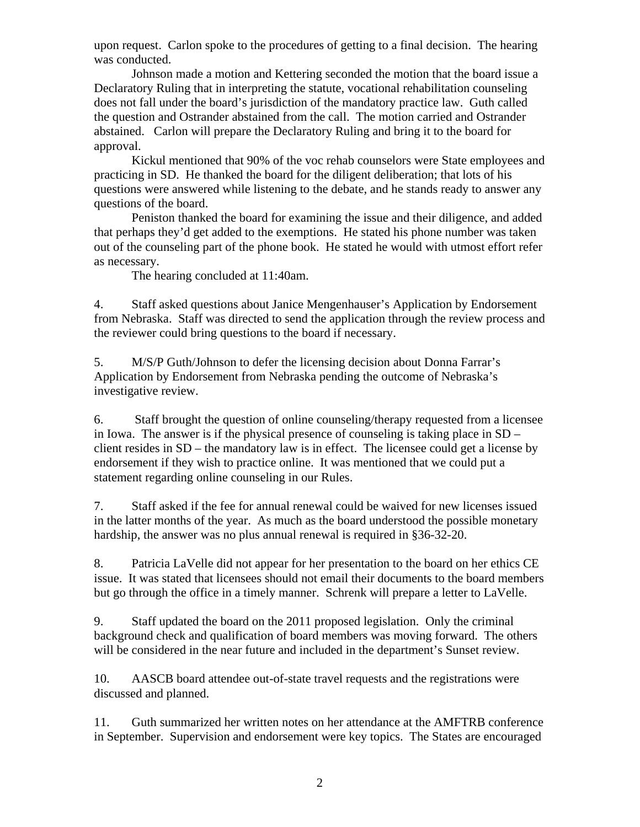upon request. Carlon spoke to the procedures of getting to a final decision. The hearing was conducted.

 Johnson made a motion and Kettering seconded the motion that the board issue a Declaratory Ruling that in interpreting the statute, vocational rehabilitation counseling does not fall under the board's jurisdiction of the mandatory practice law. Guth called the question and Ostrander abstained from the call. The motion carried and Ostrander abstained. Carlon will prepare the Declaratory Ruling and bring it to the board for approval.

 Kickul mentioned that 90% of the voc rehab counselors were State employees and practicing in SD. He thanked the board for the diligent deliberation; that lots of his questions were answered while listening to the debate, and he stands ready to answer any questions of the board.

 Peniston thanked the board for examining the issue and their diligence, and added that perhaps they'd get added to the exemptions. He stated his phone number was taken out of the counseling part of the phone book. He stated he would with utmost effort refer as necessary.

The hearing concluded at 11:40am.

4. Staff asked questions about Janice Mengenhauser's Application by Endorsement from Nebraska. Staff was directed to send the application through the review process and the reviewer could bring questions to the board if necessary.

5. M/S/P Guth/Johnson to defer the licensing decision about Donna Farrar's Application by Endorsement from Nebraska pending the outcome of Nebraska's investigative review.

6. Staff brought the question of online counseling/therapy requested from a licensee in Iowa. The answer is if the physical presence of counseling is taking place in SD – client resides in SD – the mandatory law is in effect. The licensee could get a license by endorsement if they wish to practice online. It was mentioned that we could put a statement regarding online counseling in our Rules.

7. Staff asked if the fee for annual renewal could be waived for new licenses issued in the latter months of the year. As much as the board understood the possible monetary hardship, the answer was no plus annual renewal is required in §36-32-20.

8. Patricia LaVelle did not appear for her presentation to the board on her ethics CE issue. It was stated that licensees should not email their documents to the board members but go through the office in a timely manner. Schrenk will prepare a letter to LaVelle.

9. Staff updated the board on the 2011 proposed legislation. Only the criminal background check and qualification of board members was moving forward. The others will be considered in the near future and included in the department's Sunset review.

10. AASCB board attendee out-of-state travel requests and the registrations were discussed and planned.

11. Guth summarized her written notes on her attendance at the AMFTRB conference in September. Supervision and endorsement were key topics. The States are encouraged